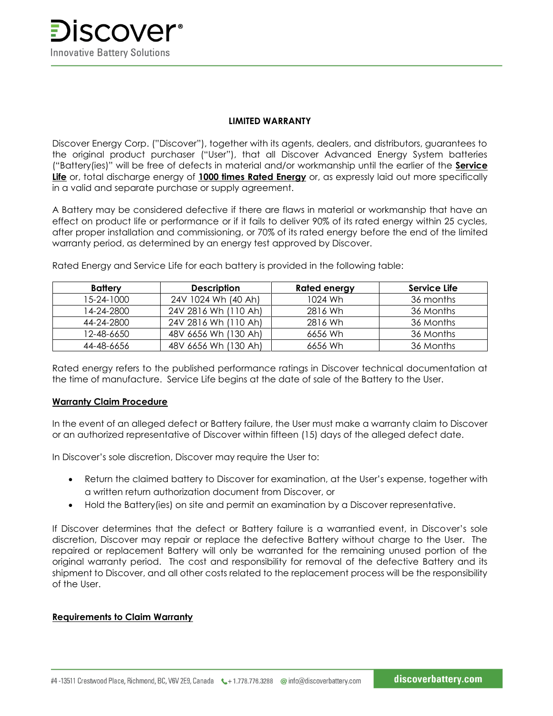**SCOVEr**<sup>®</sup> **Innovative Battery Solutions** 

### **LIMITED WARRANTY**

Discover Energy Corp. ("Discover"), together with its agents, dealers, and distributors, guarantees to the original product purchaser ("User"), that all Discover Advanced Energy System batteries ("Battery(ies)" will be free of defects in material and/or workmanship until the earlier of the **Service Life** or, total discharge energy of **1000 times Rated Energy** or, as expressly laid out more specifically in a valid and separate purchase or supply agreement.

A Battery may be considered defective if there are flaws in material or workmanship that have an effect on product life or performance or if it fails to deliver 90% of its rated energy within 25 cycles, after proper installation and commissioning, or 70% of its rated energy before the end of the limited warranty period, as determined by an energy test approved by Discover.

| <b>Battery</b> | <b>Description</b>   | <b>Rated energy</b> | Service Life |
|----------------|----------------------|---------------------|--------------|
| 15-24-1000     | 24V 1024 Wh (40 Ah)  | 1024 Wh             | 36 months    |
| 14-24-2800     | 24V 2816 Wh (110 Ah) | 2816 Wh             | 36 Months    |
| 44-24-2800     | 24V 2816 Wh (110 Ah) | 2816 Wh             | 36 Months    |
| 12-48-6650     | 48V 6656 Wh (130 Ah) | 6656 Wh             | 36 Months    |
| 44-48-6656     | 48V 6656 Wh (130 Ah) | 6656 Wh             | 36 Months    |

Rated Energy and Service Life for each battery is provided in the following table:

Rated energy refers to the published performance ratings in Discover technical documentation at the time of manufacture. Service Life begins at the date of sale of the Battery to the User.

# **Warranty Claim Procedure**

In the event of an alleged defect or Battery failure, the User must make a warranty claim to Discover or an authorized representative of Discover within fifteen (15) days of the alleged defect date.

In Discover's sole discretion, Discover may require the User to:

- Return the claimed battery to Discover for examination, at the User's expense, together with a written return authorization document from Discover, or
- Hold the Battery(ies) on site and permit an examination by a Discover representative.

If Discover determines that the defect or Battery failure is a warrantied event, in Discover's sole discretion, Discover may repair or replace the defective Battery without charge to the User. The repaired or replacement Battery will only be warranted for the remaining unused portion of the original warranty period. The cost and responsibility for removal of the defective Battery and its shipment to Discover, and all other costs related to the replacement process will be the responsibility of the User.

# **Requirements to Claim Warranty**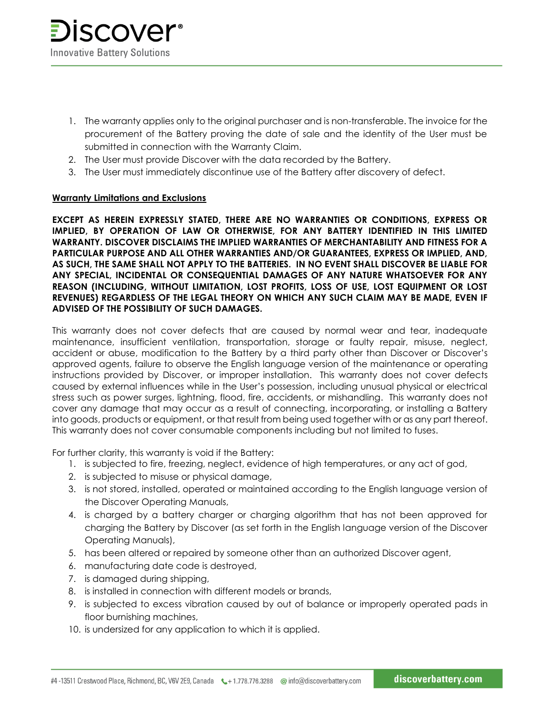- 1. The warranty applies only to the original purchaser and is non-transferable. The invoice for the procurement of the Battery proving the date of sale and the identity of the User must be submitted in connection with the Warranty Claim.
- 2. The User must provide Discover with the data recorded by the Battery.
- 3. The User must immediately discontinue use of the Battery after discovery of defect.

# **Warranty Limitations and Exclusions**

**EXCEPT AS HEREIN EXPRESSLY STATED, THERE ARE NO WARRANTIES OR CONDITIONS, EXPRESS OR IMPLIED, BY OPERATION OF LAW OR OTHERWISE, FOR ANY BATTERY IDENTIFIED IN THIS LIMITED WARRANTY. DISCOVER DISCLAIMS THE IMPLIED WARRANTIES OF MERCHANTABILITY AND FITNESS FOR A PARTICULAR PURPOSE AND ALL OTHER WARRANTIES AND/OR GUARANTEES, EXPRESS OR IMPLIED, AND, AS SUCH, THE SAME SHALL NOT APPLY TO THE BATTERIES. IN NO EVENT SHALL DISCOVER BE LIABLE FOR ANY SPECIAL, INCIDENTAL OR CONSEQUENTIAL DAMAGES OF ANY NATURE WHATSOEVER FOR ANY REASON (INCLUDING, WITHOUT LIMITATION, LOST PROFITS, LOSS OF USE, LOST EQUIPMENT OR LOST REVENUES) REGARDLESS OF THE LEGAL THEORY ON WHICH ANY SUCH CLAIM MAY BE MADE, EVEN IF ADVISED OF THE POSSIBILITY OF SUCH DAMAGES.**

This warranty does not cover defects that are caused by normal wear and tear, inadequate maintenance, insufficient ventilation, transportation, storage or faulty repair, misuse, neglect, accident or abuse, modification to the Battery by a third party other than Discover or Discover's approved agents, failure to observe the English language version of the maintenance or operating instructions provided by Discover, or improper installation. This warranty does not cover defects caused by external influences while in the User's possession, including unusual physical or electrical stress such as power surges, lightning, flood, fire, accidents, or mishandling. This warranty does not cover any damage that may occur as a result of connecting, incorporating, or installing a Battery into goods, products or equipment, or that result from being used together with or as any part thereof. This warranty does not cover consumable components including but not limited to fuses.

For further clarity, this warranty is void if the Battery:

- 1. is subjected to fire, freezing, neglect, evidence of high temperatures, or any act of god,
- 2. is subjected to misuse or physical damage,
- 3. is not stored, installed, operated or maintained according to the English language version of the Discover Operating Manuals,
- 4. is charged by a battery charger or charging algorithm that has not been approved for charging the Battery by Discover (as set forth in the English language version of the Discover Operating Manuals),
- 5. has been altered or repaired by someone other than an authorized Discover agent,
- 6. manufacturing date code is destroyed,
- 7. is damaged during shipping,
- 8. is installed in connection with different models or brands,
- 9. is subjected to excess vibration caused by out of balance or improperly operated pads in floor burnishing machines,
- 10. is undersized for any application to which it is applied.